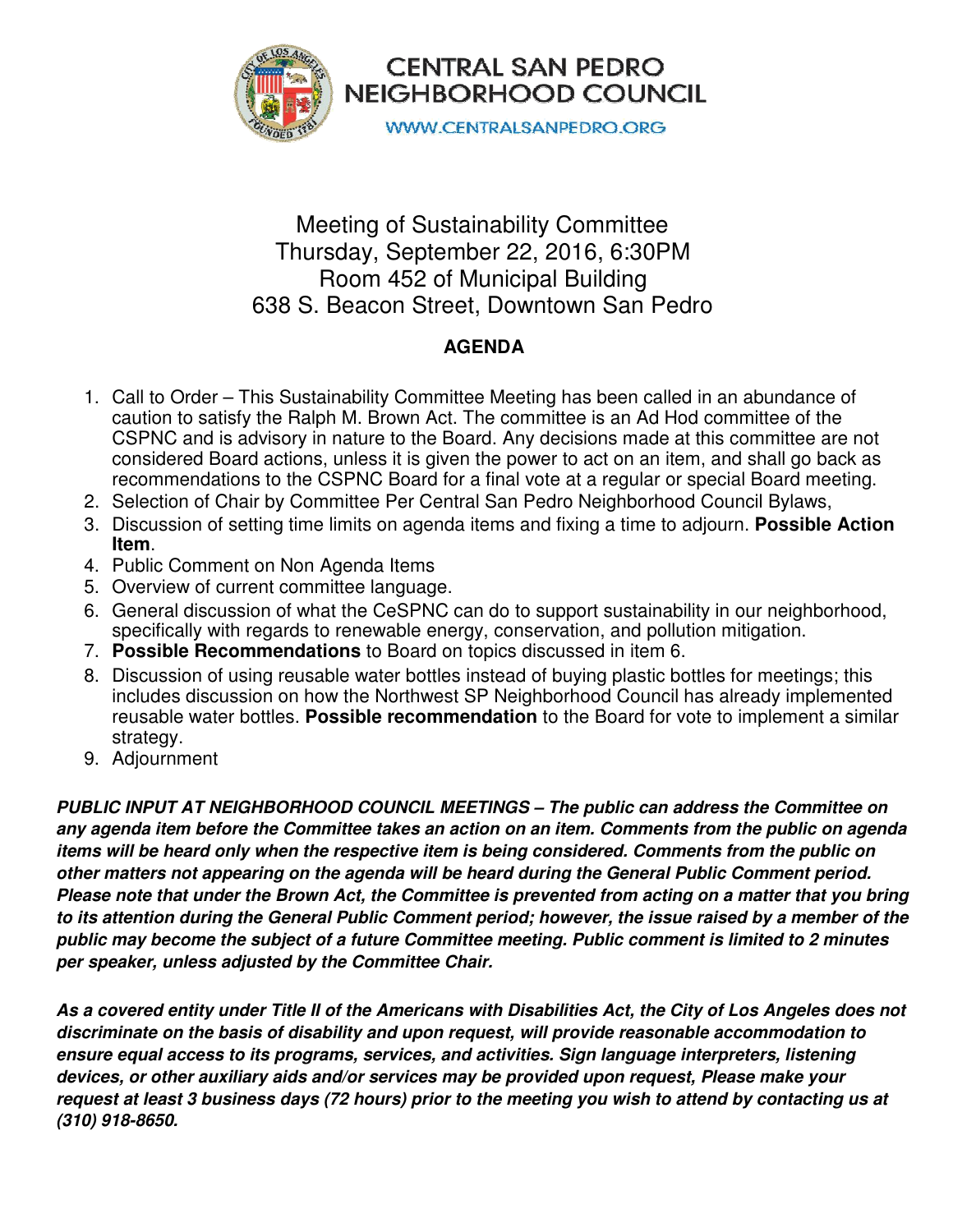



**WWW.CENTRALSANPEDRO.ORG** 

## Meeting of Sustainability Committee Thursday, September 22, 2016, 6:30PM Room 452 of Municipal Building 638 S. Beacon Street, Downtown San Pedro

## **AGENDA**

- 1. Call to Order This Sustainability Committee Meeting has been called in an abundance of caution to satisfy the Ralph M. Brown Act. The committee is an Ad Hod committee of the CSPNC and is advisory in nature to the Board. Any decisions made at this committee are not considered Board actions, unless it is given the power to act on an item, and shall go back as recommendations to the CSPNC Board for a final vote at a regular or special Board meeting.
- 2. Selection of Chair by Committee Per Central San Pedro Neighborhood Council Bylaws,
- 3. Discussion of setting time limits on agenda items and fixing a time to adjourn. **Possible Action Item**.
- 4. Public Comment on Non Agenda Items
- 5. Overview of current committee language.
- 6. General discussion of what the CeSPNC can do to support sustainability in our neighborhood, specifically with regards to renewable energy, conservation, and pollution mitigation.
- 7. **Possible Recommendations** to Board on topics discussed in item 6.
- 8. Discussion of using reusable water bottles instead of buying plastic bottles for meetings; this includes discussion on how the Northwest SP Neighborhood Council has already implemented reusable water bottles. **Possible recommendation** to the Board for vote to implement a similar strategy.
- 9. Adjournment

**PUBLIC INPUT AT NEIGHBORHOOD COUNCIL MEETINGS – The public can address the Committee on any agenda item before the Committee takes an action on an item. Comments from the public on agenda items will be heard only when the respective item is being considered. Comments from the public on other matters not appearing on the agenda will be heard during the General Public Comment period. Please note that under the Brown Act, the Committee is prevented from acting on a matter that you bring to its attention during the General Public Comment period; however, the issue raised by a member of the public may become the subject of a future Committee meeting. Public comment is limited to 2 minutes per speaker, unless adjusted by the Committee Chair.** 

**As a covered entity under Title II of the Americans with Disabilities Act, the City of Los Angeles does not discriminate on the basis of disability and upon request, will provide reasonable accommodation to ensure equal access to its programs, services, and activities. Sign language interpreters, listening devices, or other auxiliary aids and/or services may be provided upon request, Please make your request at least 3 business days (72 hours) prior to the meeting you wish to attend by contacting us at (310) 918-8650.**